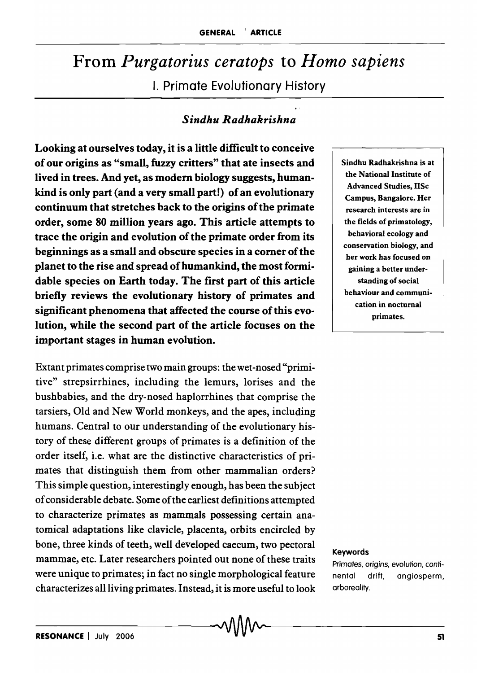# From *Purgatorius ceratops* to *Homo sapiens*  I. Primate Evolutionary History

## *Sindhu Radhakrishna*

Looking at ourselves today, it is a little difficult to conceive of our origins as "small, fuzzy critters" that ate insects and lived in trees. And yet, as modem biology suggests, humankind is only part (and a very small part!) of an evolutionary continuum that stretches back to the origins of the primate order, some 80 million years ago. This article attempts to trace the origin and evolution of the primate order from its beginnings as a small and obscure species in a comer of the planet to the rise and spread of humankind, the most formidable species on Earth today. The first part of this article briefly reviews the evolutionary history of primates and significant phenomena that affected the course of this evolution, while the second part of the article focuses on the important stages in human evolution.

Extant primates comprise two main groups: the wet-nosed "primitive" strepsirrhines, including the lemurs, lorises and the bushbabies, and the dry-nosed haplorrhines that comprise the tarsiers, Old and New World monkeys, and the apes, including humans. Central to our understanding of the evolutionary history of these different groups of primates is a definition of the order itself, i.e. what are the distinctive characteristics of primates that distinguish them from other mammalian orders? This simple question, interestingly enough, has been the subject of considerable debate. Some of the earliest definitions attempted to characterize primates as mammals possessing certain anatomical adaptations like clavicle, placenta, orbits encircled by bone, three kinds of teeth, well developed caecum, two pectoral mammae, etc. Later researchers pointed out none of these traits were unique to primates; in fact no single morphological feature characterizes all living primates. Instead, it is more useful to look

 $\sim$ 

Sindhu Radhakrishna is at the National Institute of Advanced Studies, IISc Campus, Bangalore. Her research interests are in the fields of primatology, behavioral ecology and conservation biology, and her work has focused on gaining a better understanding of social behaviour and communication in nocturnal primates.

#### Keywords

Primates, origins, evolution, continental drift, angiosperm, arboreality.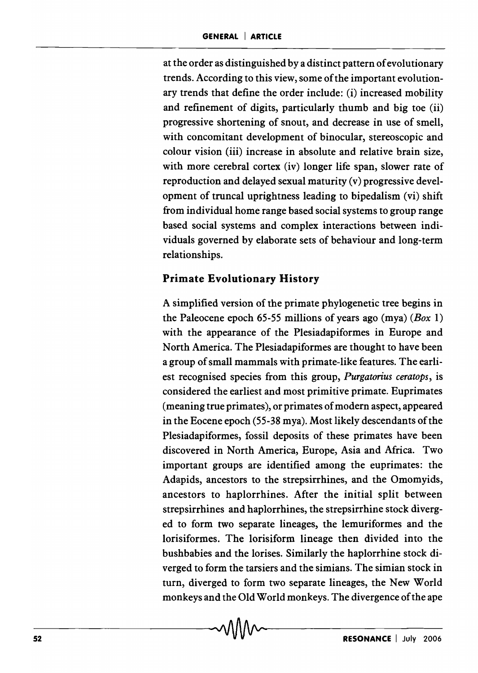at the order as distinguished by a distinct pattern of evolutionary trends. According to this view, some of the important evolutionary trends that define the order include: (i) increased mobility and refinement of digits, particularly thumb and big toe (ii) progressive shortening of snout, and decrease in use of smell, with concomitant development of binocular, stereoscopic and colour vision (iii) increase in absolute and relative brain size, with more cerebral cortex (iv) longer life span, slower rate of reproduction and delayed sexual maturity (v) progressive development of truncal uprightness leading to bipedalism (vi) shift from individual home range based social systems to group range based social systems and complex interactions between individuals governed by elaborate sets of behaviour and long-term relationships.

## **Primate Evolutionary History**

A simplified version of the primate phylogenetic tree begins in the Paleocene epoch 65-55 millions of years ago (mya) ( $Box 1$ ) with the appearance of the Plesiadapiformes in Europe and North America. The Plesiadapiformes are thought to have been a group of small mammals with primate-like features. The earliest recognised species from this group, *Purgatorius ceratops*, is considered the earliest and most primitive primate. Euprimates (meaning true primates), or primates of modern aspect, appeared in the Eocene epoch (55-38 mya). Most likely descendants of the Plesiadapiformes, fossil deposits of these primates have been discovered in North America, Europe, Asia and Africa. Two important groups are identified among the euprimates: the Adapids, ancestors to the strepsirrhines, and the Omomyids, ancestors to haplorrhines. After the initial split between strepsirrhines and haplorrhines, the strepsirrhine stock diverged to form two separate lineages, the lemuriformes and the lorisiformes. The lorisiform lineage then divided into the bushbabies and the lorises. Similarly the haplorrhine stock diverged to form the tarsiers and the simians. The simian stock in turn, diverged to form two separate lineages, the New World monkeys and the Old World monkeys. The divergence of the ape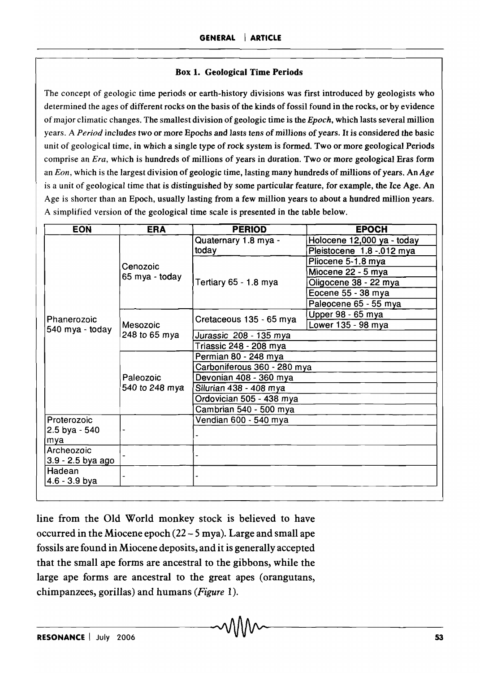#### Box 1. Geological Time Periods

The concept of geologic time periods or earth-history divisions was first introduced by geologists who determined the ages of different rocks on the basis of the kinds of fossil found in the rocks, or by evidence of major climatic changes. The smallest division of geologic time is the *Epoch,* which lasts several million years. A *Period* includes two or more Epochs and lasts tens of millions of years. It *is* considered the basic unit of geological time, in which a single type of rock system is formed. Two or more geological Periods comprise an *Era,* which is hundreds of millions of years in duration. Two or more geological Eras form an *Eon,* which is the largest division of geologic time, lasting many hundreds of millions of years. An *Age*  is a unit of geological time that is distinguished by some particular feature, for example, the Ice Age. An Age is shorter than an Epoch, usually lasting from a few million years to about a hundred million years. A simplified version of the geological time scale is presented in the table below.

| <b>EON</b>                     | <b>ERA</b>                  | <b>PERIOD</b>               | <b>EPOCH</b>               |
|--------------------------------|-----------------------------|-----------------------------|----------------------------|
| Phanerozoic<br>540 mya - today | Cenozoic<br>65 mya - today  | Quaternary 1.8 mya -        | Holocene 12,000 ya - today |
|                                |                             | today                       | Pleistocene 1.8 -.012 mya  |
|                                |                             | Tertiary 65 - 1.8 mya       | Pliocene 5-1.8 mya         |
|                                |                             |                             | Miocene 22 - 5 mya         |
|                                |                             |                             | Oligocene 38 - 22 mya      |
|                                |                             |                             | Eocene 55 - 38 mya         |
|                                |                             |                             | Paleocene 65 - 55 mya      |
|                                | Mesozoic<br>248 to 65 mya   | Cretaceous 135 - 65 mya     | Upper 98 - 65 mya          |
|                                |                             |                             | Lower 135 - 98 mya         |
|                                |                             | Jurassic 208 - 135 mya      |                            |
|                                |                             | Triassic 248 - 208 mya      |                            |
|                                | Paleozoic<br>540 to 248 mya | Permian 80 - 248 mya        |                            |
|                                |                             | Carboniferous 360 - 280 mya |                            |
|                                |                             | Devonian 408 - 360 mya      |                            |
|                                |                             | Silurian 438 - 408 mya      |                            |
|                                |                             | Ordovician 505 - 438 mya    |                            |
|                                |                             | Cambrian 540 - 500 mya      |                            |
| Proterozoic                    |                             | Vendian 600 - 540 mya       |                            |
| 2.5 bya - 540                  |                             |                             |                            |
| mya                            |                             |                             |                            |
| Archeozoic                     |                             |                             |                            |
| 3.9 - 2.5 bya ago              |                             |                             |                            |
| Hadean                         |                             |                             |                            |
| $4.6 - 3.9$ bya                |                             |                             |                            |

line from the Old World monkey stock is believed to have occurred in the Miocene epoch (22 - 5 mya). Large and small ape fossils are found in Miocene deposits, and it is generally accepted that the small ape forms are ancestral to the gibbons, while the large ape forms are ancestral to the great apes (orangutans, chimpanzees, gorillas) and humans *(Figure* 1).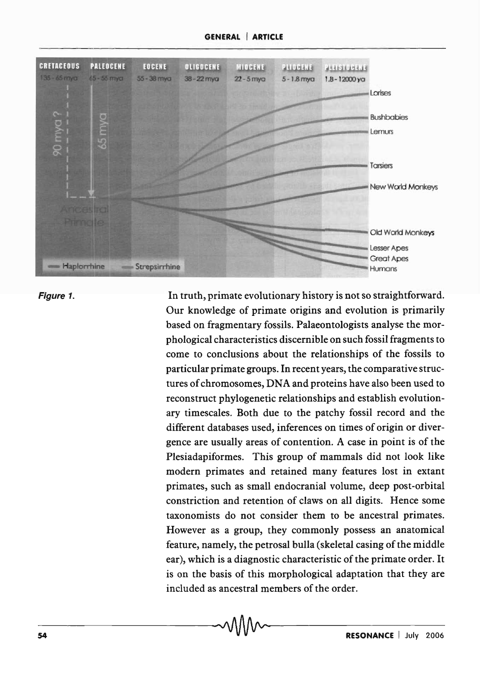

Figure 1.

In truth, primate evolutionary history is not so straightforward. Our knowledge of primate origins and evolution is primarily based on fragmentary fossils. Palaeontologists analyse the morphological characteristics discernible on such fossil fragments to come to conclusions about the relationships of the fossils to particular primate groups. In recent years, the comparative structures of chromosomes, DNA and proteins have also been used to reconstruct phylogenetic relationships and establish evolutionary timescales. Both due to the patchy fossil record and the different databases used, inferences on times of origin or divergence are usually areas of contention. A case in point is of the Plesiadapiformes. This group of mammals did not look like modern primates and retained many features lost in extant primates, such as small endocranial volume, deep post-orbital constriction and retention of claws on all digits. Hence some taxonomists do not consider them to be ancestral primates. However as a group, they commonly possess an anatomical feature, namely, the petrosal bulla (skeletal casing of the middle ear), which is a diagnostic characteristic of the primate order. It is on the basis of this morphological adaptation that they are included as ancestral members of the order.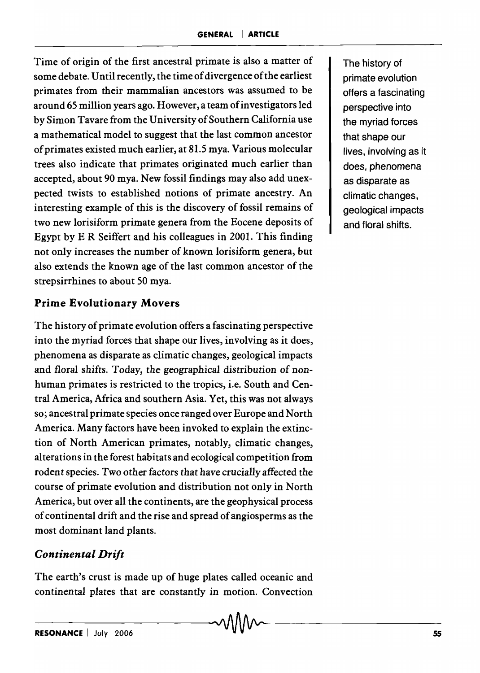Time of origin of the first ancestral primate is also a matter of some debate. Until recently, the time of divergence of the earliest primates from their mammalian ancestors was assumed to be around 65 million years ago. However, a team of investigators led by Simon Tavare from the University of Southern California use a mathematical model to suggest that the last common ancestor of primates existed much earlier, at 81.5 mya. Various molecular trees also indicate that primates originated much earlier than accepted, about 90 mya. New fossil findings may also add unexpected twists to established notions of primate ancestry. An interesting example of this is the discovery of fossil remains of two new lorisiform primate genera from the Eocene deposits of Egypt by E R Seiffert and his colleagues in 2001. This finding not only increases the number of known lorisiform genera, but also extends the known age of the last common ancestor of the strepsirrhines to about 50 mya.

#### **Prime Evolutionary Movers**

The history of primate evolution offers a fascinating perspective into the myriad forces that shape our lives, involving as it does, phenomena as disparate as climatic changes, geological impacts and floral shifts. Today, the geographical distribution of nonhuman primates is restricted to the tropics, i.e. South and Central America, Africa and southern Asia. Yet, this was not always so; ancestral primate species once ranged over Europe and North America. Many factors have been invoked to explain the extinction of North American primates, notably, climatic changes, alterations in the forest habitats and ecological competition from rodent species. Two other factors that have crucially affected the course of primate evolution and distribution not only in North America, but over all the continents, are the geophysical process of continental drift and the rise and spread of angiosperms as the most dominant land plants.

#### *Continental Drift*

The earth's crust is made up of huge plates called oceanic and continental plates that are constantly in motion. Convection

 $\sim$ 

The history of primate evolution offers a fascinating perspective into the myriad forces that shape our lives, involving as it does, phenomena as disparate as climatic changes, geological impacts and floral shifts.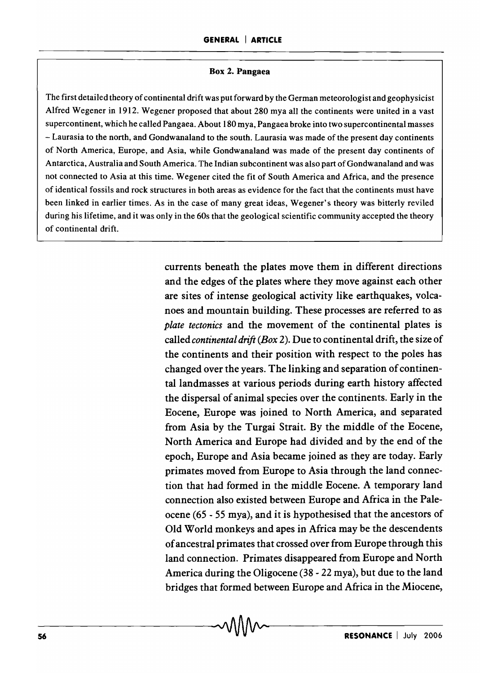#### Box 2. Pangaea

The first detailed theory of continental drift was put forward by the German meteorologist and geophysicist Alfred Wegener in 1912. Wegener proposed that about 280 mya all the continents were united in a vast supercontinent, which he called Pangaea. About 180 mya, Pangaea broke into two supercontinental masses - Laurasia to the north, and Gondwanaland to the south. Laurasia was made of the present day continents of North America, Europe, and Asia, while Gondwanaland was made of the present day continents of Antarctica, Australia and South America. The Indian subcontinent was also part of Gondwanaland and was not connected to Asia at this time. Wegener cited the fit of South America and Africa, and the presence of identical fossils and rock structures in both areas as evidence for the fact that the continents must have been linked in earlier times. As in the case of many great ideas, Wegener's theory was bitterly reviled during his lifetime, and it was only in the 60s that the geological scientific community accepted the theory of continental drift.

> currents beneath the plates move them in different directions and the edges of the plates where they move against each other are sites of intense geological activity like earthquakes, volcanoes and mountain building. These processes are referred to as *plate tectonics* and the movement of the continental plates is called *continental drift (Box* 2). Due to continental drift, the size of the continents and their position with respect to the poles has changed over the years. The linking and separation of continental landmasses at various periods during earth history affected the dispersal of animal species over the continents. Early in the Eocene, Europe was joined to North America, and separated from Asia by the Turgai Strait. By the middle of the Eocene, North America and Europe had divided and by the end of the epoch, Europe and Asia became joined as they are today. Early primates moved from Europe to Asia through the land connection that had formed in the middle Eocene. A temporary land connection also existed between Europe and Africa in the Paleocene (65 - 55 mya), and it is hypothesised that the ancestors of Old World monkeys and apes in Africa may be the descendents of ancestral primates that crossed over from Europe through this land connection. Primates disappeared from Europe and North America during the Oligocene (38 - 22 mya), but due to the land bridges that formed between Europe and Africa in the Miocene,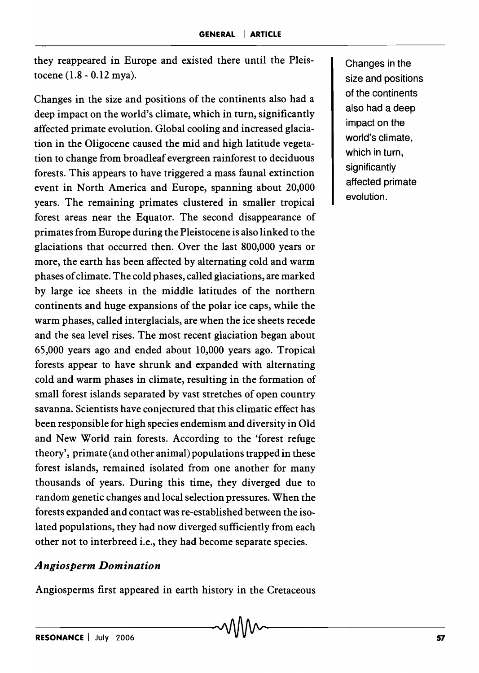they reappeared in Europe and existed there until the Pleistocene (1.8 - 0.12 mya).

Changes in the size and positions of the continents also had a deep impact on the world's climate, which in turn, significantly affected primate evolution. Global cooling and increased glaciation in the Oligocene caused the mid and high latitude vegetation to change from broadleaf evergreen rainforest to deciduous forests. This appears to have triggered a mass faunal extinction event in North America and Europe, spanning about 20,000 years. The remaining primates clustered in smaller tropical forest areas near the Equator. The second disappearance of primates from Europe during the Pleistocene is also linked to the glaciations that occurred then. Over the last 800,000 years or more, the earth has been affected by alternating cold and warm phases of climate. The cold phases, called glaciations, are marked by large ice sheets in the middle latitudes of the northern continents and huge expansions of the polar ice caps, while the warm phases, called interglacials, are when the ice sheets recede and the sea level rises. The most recent glaciation began about 65,000 years ago and ended about 10,000 years ago. Tropical forests appear to have shrunk and expanded with alternating cold and warm phases in climate, resulting in the formation of small forest islands separated by vast stretches of open country savanna. Scientists have conjectured that this climatic effect has been responsible for high species endemism and diversity in Old and New World rain forests. According to the 'forest refuge theory', primate (and other animal) populations trapped in these forest islands, remained isolated from one another for many thousands of years. During this time, they diverged due to random genetic changes and local selection pressures. When the forests expanded and contact was re-established between the isolated populations, they had now diverged sufficiently from each other not to interbreed i.e., they had become separate species.

#### *Angiosperm Domination*

Angiosperms first appeared in earth history in the Cretaceous

Changes in the size and positions of the continents also had a deep impact on the world's climate, which in turn, significantly affected primate evolution.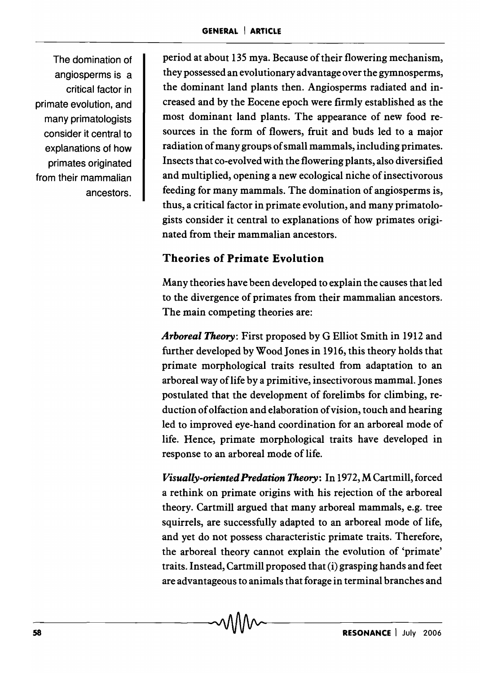The domination of angiosperms is a critical factor in primate evolution, and many primatologists consider it central to explanations of how primates originated from their mammalian ancestors.

period at about 135 mya. Because of their flowering mechanism, they possessed an evolutionary advantage over the gymnosperms, the dominant land plants then. Angiosperms radiated and increased and by the Eocene epoch were firmly established as the most dominant land plants. The appearance of new food resources in the form of flowers, fruit and buds led to a major radiation of many groups of small mammals, including primates. Insects that co-evolved with the flowering plants, also diversified and multiplied, opening a new ecological niche of insectivorous feeding for many mammals. The domination of angiosperms is, thus, a critical factor in primate evolution, and many primatologists consider it central to explanations of how primates originated from their mammalian ancestors.

# Theories of Primate Evolution

Many theories have been developed to explain the causes that led to the divergence of primates from their mammalian ancestors. The main competing theories are:

*Arboreal Theory:* First proposed by G Elliot Smith in 1912 and further developed by Wood Jones in 1916, this theory holds that primate morphological traits resulted from adaptation to an arboreal way oflife by a primitive, insectivorous mammal. Jones postulated that the development of forelimbs for climbing, reduction of olfaction and elaboration of vision, touch and hearing led to improved eye-hand coordination for an arboreal mode of life. Hence, primate morphological traits have developed in response to an arboreal mode of life.

*Visually-oriented Predation Theory:* In 1972, M Cartmill, forced a rethink on primate origins with his rejection of the arboreal theory. Cartmill argued that many arboreal mammals, e.g. tree squirrels, are successfully adapted to an arboreal mode of life, and yet do not possess characteristic primate traits. Therefore, the arboreal theory cannot explain the evolution of 'primate' traits. Instead, Cartmill proposed that (i) grasping hands and feet are advantageous to animals that forage in terminal branches and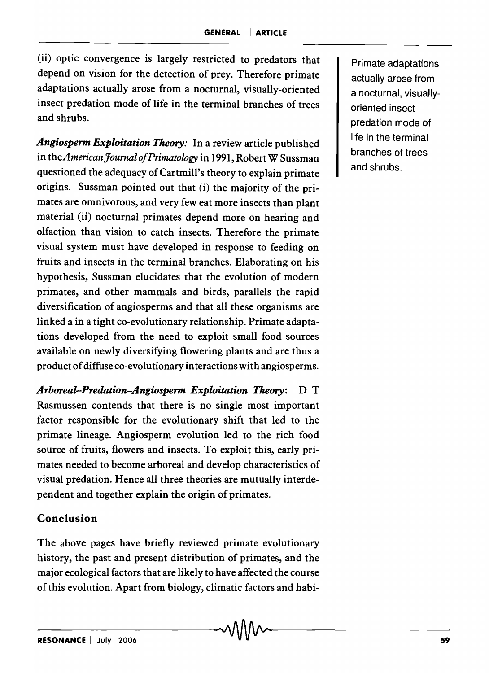(ii) optic convergence is largely restricted to predators that depend on vision for the detection of prey. Therefore primate adaptations actually arose from a nocturnal, visually-oriented insect predation mode of life in the terminal branches of trees and shrubs.

*Angiosperm Exploitation Theory:* In a review article published in *theAmericanJoumal of Primatology* in 1991, Robert W Sussman questioned the adequacy of Cartmill's theory to explain primate origins. Sussman pointed out that (i) the majority of the primates are omnivorous, and very few eat more insects than plant material (ii) nocturnal primates depend more on hearing and olfaction than vision to catch insects. Therefore the primate visual system must have developed in response to feeding on fruits and insects in the terminal branches. Elaborating on his hypothesis, Sussman elucidates that the evolution of modern primates, and other mammals and birds, parallels the rapid diversification of angiosperms and that all these organisms are linked a in a tight co-evolutionary relationship. Primate adaptations developed from the need to exploit small food sources available on newly diversifying flowering plants and are thus a product of diffuse co-evolu tionary in teractions with angiosperms.

*Arboreal-Predation-Angiosperm Exploitation Theory:* D T Rasmussen contends that there is no single most important factor responsible for the evolutionary shift that led to the primate lineage. Angiosperm evolution led to the rich food source of fruits, flowers and insects. To exploit this, early primates needed to become arboreal and develop characteristics of visual predation. Hence all three theories are mutually interdependent and together explain the origin of primates.

## Conclusion

The above pages have briefly reviewed primate evolutionary history, the past and present distribution of primates, and the major ecological factors that are likely to have affected the course of this evolution. Apart from biology, climatic factors and habi-

Primate adaptations actually arose from a nocturnal, visuallyoriented insect predation mode of life in the terminal branches of trees and shrubs.